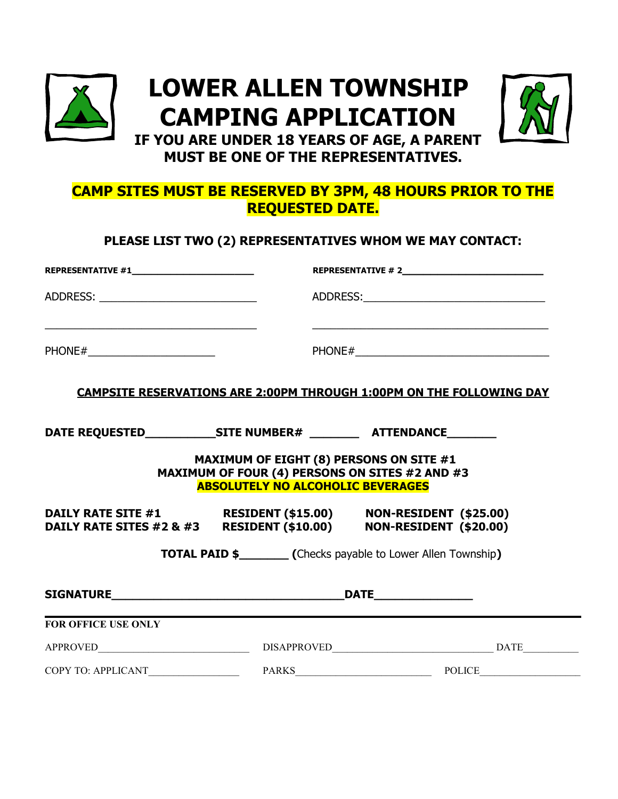

# **LOWER ALLEN TOWNSHIP CAMPING APPLICATION**



**IF YOU ARE UNDER 18 YEARS OF AGE, A PARENT MUST BE ONE OF THE REPRESENTATIVES.**

# **CAMP SITES MUST BE RESERVED BY 3PM, 48 HOURS PRIOR TO THE REQUESTED DATE.**

**PLEASE LIST TWO (2) REPRESENTATIVES WHOM WE MAY CONTACT:**

| ADDRESS: ____________________________                                                                                  |                                                                                                                                              |                                                                                                                                    |  |
|------------------------------------------------------------------------------------------------------------------------|----------------------------------------------------------------------------------------------------------------------------------------------|------------------------------------------------------------------------------------------------------------------------------------|--|
| <u> 1980 - Johann John Stein, markin fan it ferskearre fan it ferskearre fan it ferskearre fan it ferskearre fan i</u> |                                                                                                                                              | <u> 2002 - Johann John Harry Harry Harry Harry Harry Harry Harry Harry Harry Harry Harry Harry Harry Harry Harry</u>               |  |
|                                                                                                                        |                                                                                                                                              | <b>CAMPSITE RESERVATIONS ARE 2:00PM THROUGH 1:00PM ON THE FOLLOWING DAY</b>                                                        |  |
|                                                                                                                        |                                                                                                                                              |                                                                                                                                    |  |
|                                                                                                                        | <b>MAXIMUM OF EIGHT (8) PERSONS ON SITE #1</b><br>MAXIMUM OF FOUR (4) PERSONS ON SITES #2 AND #3<br><b>ABSOLUTELY NO ALCOHOLIC BEVERAGES</b> |                                                                                                                                    |  |
|                                                                                                                        |                                                                                                                                              | DAILY RATE SITE #1 RESIDENT (\$15.00) NON-RESIDENT (\$25.00)<br>DAILY RATE SITES #2 & #3 RESIDENT (\$10.00) NON-RESIDENT (\$20.00) |  |
|                                                                                                                        |                                                                                                                                              |                                                                                                                                    |  |
|                                                                                                                        |                                                                                                                                              |                                                                                                                                    |  |
| <b>FOR OFFICE USE ONLY</b>                                                                                             |                                                                                                                                              |                                                                                                                                    |  |
|                                                                                                                        |                                                                                                                                              |                                                                                                                                    |  |
|                                                                                                                        |                                                                                                                                              |                                                                                                                                    |  |